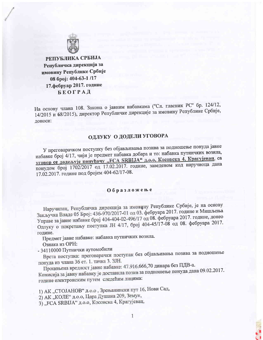

РЕПУБЛИКА СРБИЈА Републичка дирекција за имовину Републике Србије 08 број: 404-63-1 /17 17.фебруар 2017. године **БЕОГРАД** 

На основу члана 108. Закона о јавним набавкама ("Сл. гласник РС" бр. 124/12, 14/2015 и 68/2015), директор Републичке дирекције за имовину Републике Србије, доноси:

## ОДЛУКУ О ДОДЕЛИ УГОВОРА

У преговарачком поступку без објављивања позива за подношење понуда јавне набавке број 4/17, чији је предмет набавка добара и то: набавка путничких возила, уговор се додељује понуђачу "FCA SRBIJA" д.о.о, Косовска 4, Крагујевац, са понудом број 1702/2017 од 17.02.2017. године, заведеном код наручиоца дана 17.02.2017. године под бројем 404-62/17-08.

## Образложење

Наручилац, Републичка дирекција за имовину Републике Србије, је на основу Закључка Владе 05 Број: 436-970/2017-01 од 03. фебруара 2017. године и Мишљења Управе за јавне набавке број 404-404-02-496/17 од 08. фебруара 2017. године, донео Одлуку о покретању поступка ЈН 4/17, број 404-45/17-08 од 08. фебруара 2017. године.

Предмет јавне набавке: набавка путничких возила.

Ознака из ОРН:

- 34110000 Путнички аутомобили

Врста поступка: преговарачки поступак без објављивања позива за подношење понуда из члана 36 ст. 1. тачка 3. ЗЈН.

Процењена вредност јавне набавке: 47.916.666,70 динара без ПДВ-а.

Комисија за јавну набавку је доставила позив за подношење понуда дана 09.02.2017. године електронским путем следећим лицима:

1) АК "СТОЈАНОВ" д.о.о , Зрењанински пут 16, Нови Сад,

2) АК "КОЛЕ" д.о.о, Цара Душана 209, Земун,

3) "FCA SRBIJA" д.о.о, Косовска 4, Крагујевац,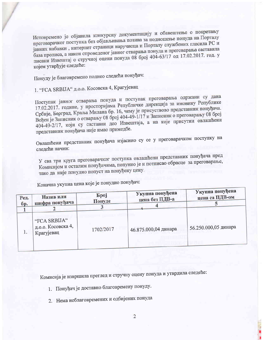Истовремено је објавила конкурсну документацију и обавештење о покретању преговарачког поступка без објављивања позива за подношење понуда на Порталу јавних набавки, интернет страници наручиоца и Порталу службених гласила РС и база прописа, а након спроведеног јавног отварања понуда и преговарања саставила писани Извештај о стручној оцени понуда 08 број 404-63/17 од 17.02.2017. год. у којем утврђује следеће:

Понуду је благовремено поднео следећи понуђач:

1. "FCA SRBIJA" д.о.о. Косовска 4, Крагујевац

Поступак јавног отварања понуда и поступак преговарања одржани су дана 17.02.2017. године, у просторијама Републичке дирекција за имовину Републике Србије, Београд, Краља Милана бр. 16, чему је присуствово представник понуђача. Вођен је Записник о отварању 08 број 404-49-1/17 и Записник о преговарању 08 број 404-49-2/17, који су саставни део Извештаја, а на које присутни овлашћени представник понуђача није имао примедбе.

Овлашћени представник понуђача изјаснио су се у преговарачком поступку на следећи начин:

У сва три круга преговарачког поступка овлашћени представник понуђача пред Комисијом и осталим понуђачима, попунио је и потписао обрасце за преговарање, тако да није понудио попуст на понуђену цену.

Коначна укупна цена које је понудио понуђач:

| Ред. | Назив или                                        | <b><i><u>Spoj</u></i></b> | Укупна понуђена      | Укупна понуђена      |
|------|--------------------------------------------------|---------------------------|----------------------|----------------------|
| бр.  | шифра понуђача                                   | Понуде                    | цена без ПДВ-а       | цена са ПДВ-ом       |
| 1.   | "FCA SRBIJA"<br>д.о.о. Косовска 4,<br>Крагујевац | 1702/2017                 | 46.875.000,04 динара | 56.250.000,05 динара |

Комисија је извршила преглед и стручну оцену понуда и утврдила следеће:

- 1. Понуђач је доставио благовремену понуду.
- 2. Нема неблаговремених и одбијених понуда